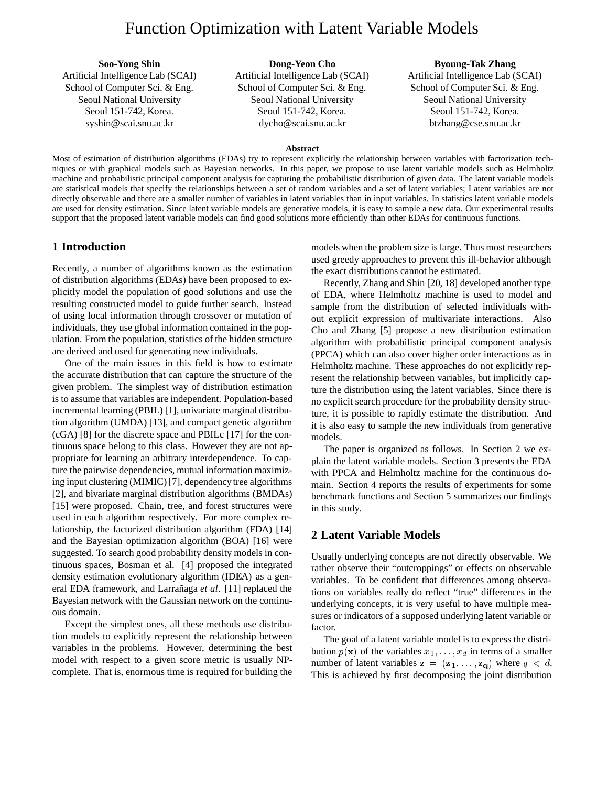# Function Optimization with Latent Variable Models

**Soo-Yong Shin** Artificial Intelligence Lab (SCAI) School of Computer Sci. & Eng. Seoul National University Seoul 151-742, Korea. syshin@scai.snu.ac.kr

## **Dong-Yeon Cho**

Artificial Intelligence Lab (SCAI) School of Computer Sci. & Eng. Seoul National University Seoul 151-742, Korea. dycho@scai.snu.ac.kr

### **Byoung-Tak Zhang**

Artificial Intelligence Lab (SCAI) School of Computer Sci. & Eng. Seoul National University Seoul 151-742, Korea. btzhang@cse.snu.ac.kr

#### **Abstract**

Most of estimation of distribution algorithms (EDAs) try to represent explicitly the relationship between variables with factorization techniques or with graphical models such as Bayesian networks. In this paper, we propose to use latent variable models such as Helmholtz machine and probabilistic principal component analysis for capturing the probabilistic distribution of given data. The latent variable models are statistical models that specify the relationships between a set of random variables and a set of latent variables; Latent variables are not directly observable and there are a smaller number of variables in latent variables than in input variables. In statistics latent variable models are used for density estimation. Since latent variable models are generative models, it is easy to sample a new data. Our experimental results support that the proposed latent variable models can find good solutions more efficiently than other EDAs for continuous functions.

## **1 Introduction**

Recently, a number of algorithms known as the estimation of distribution algorithms (EDAs) have been proposed to explicitly model the population of good solutions and use the resulting constructed model to guide further search. Instead of using local information through crossover or mutation of individuals, they use global information contained in the population. From the population, statistics of the hidden structure are derived and used for generating new individuals.

One of the main issues in this field is how to estimate the accurate distribution that can capture the structure of the given problem. The simplest way of distribution estimation is to assume that variables are independent. Population-based incremental learning (PBIL) [1], univariate marginal distribution algorithm (UMDA) [13], and compact genetic algorithm (cGA) [8] for the discrete space and PBILc [17] for the continuous space belong to this class. However they are not appropriate for learning an arbitrary interdependence. To capture the pairwise dependencies, mutual information maximizing input clustering (MIMIC) [7], dependency tree algorithms [2], and bivariate marginal distribution algorithms (BMDAs) [15] were proposed. Chain, tree, and forest structures were used in each algorithm respectively. For more complex relationship, the factorized distribution algorithm (FDA) [14] and the Bayesian optimization algorithm (BOA) [16] were suggested. To search good probability density models in continuous spaces, Bosman et al. [4] proposed the integrated density estimation evolutionary algorithm (ID $E$ A) as a general EDA framework, and Larrañaga *et al.* [11] replaced the Bayesian network with the Gaussian network on the continuous domain.

Except the simplest ones, all these methods use distribution models to explicitly represent the relationship between variables in the problems. However, determining the best model with respect to a given score metric is usually NPcomplete. That is, enormous time is required for building the

models when the problem size is large. Thus most researchers used greedy approaches to prevent this ill-behavior although the exact distributions cannot be estimated.

Recently, Zhang and Shin [20, 18] developed another type of EDA, where Helmholtz machine is used to model and sample from the distribution of selected individuals without explicit expression of multivariate interactions. Also Cho and Zhang [5] propose a new distribution estimation algorithm with probabilistic principal component analysis (PPCA) which can also cover higher order interactions as in Helmholtz machine. These approaches do not explicitly represent the relationship between variables, but implicitly capture the distribution using the latent variables. Since there is no explicit search procedure for the probability density structure, it is possible to rapidly estimate the distribution. And it is also easy to sample the new individuals from generative models.

The paper is organized as follows. In Section 2 we explain the latent variable models. Section 3 presents the EDA with PPCA and Helmholtz machine for the continuous domain. Section 4 reports the results of experiments for some benchmark functions and Section 5 summarizes our findings in this study.

## **2 Latent Variable Models**

Usually underlying concepts are not directly observable. We rather observe their "outcroppings" or effects on observable variables. To be confident that differences among observations on variables really do reflect "true" differences in the underlying concepts, it is very useful to have multiple measures or indicators of a supposed underlying latent variable or factor.

The goal of a latent variable model is to express the distribution  $p(\mathbf{x})$  of the variables  $x_1, \ldots, x_d$  in terms of a smaller number of latent variables  $z = (z_1, \ldots, z_q)$  where  $q < d$ . This is achieved by first decomposing the joint distribution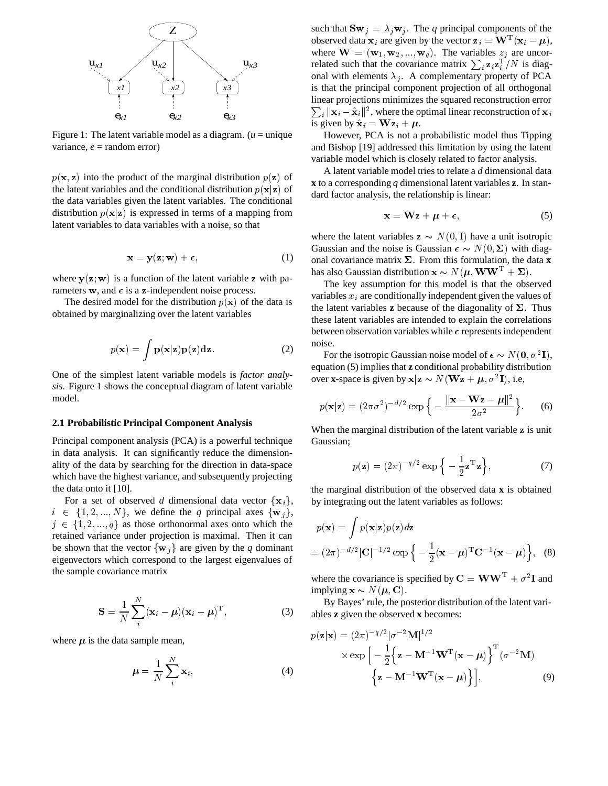

Figure 1: The latent variable model as a diagram.  $(u =$  unique variance,  $e =$  random error)

 $p(x, z)$  into the product of the marginal distribution  $p(z)$  of the latent variables and the conditional distribution  $p(\mathbf{x}|\mathbf{z})$  of the data variables given the latent variables. The conditional distribution  $p(x|z)$  is expressed in terms of a mapping from latent variables to data variables with a noise, so that

$$
\mathbf{x} = \mathbf{y}(\mathbf{z}; \mathbf{w}) + \boldsymbol{\epsilon},\tag{1}
$$

where  $y(z; w)$  is a function of the latent variable z with parameters w, and  $\epsilon$  is a z-independent noise process.

The desired model for the distribution  $p(x)$  of the data is obtained by marginalizing over the latent variables

$$
p(\mathbf{x}) = \int \mathbf{p}(\mathbf{x}|\mathbf{z})\mathbf{p}(\mathbf{z})\mathbf{dz}.
$$
 (2)

One of the simplest latent variable models is *factor analysis*. Figure 1 shows the conceptual diagram of latent variable model.

### **2.1 Probabilistic Principal Component Analysis**

Principal component analysis (PCA) is a powerful technique in data analysis. It can significantly reduce the dimensionality of the data by searching for the direction in data-space which have the highest variance, and subsequently projecting the data onto it [10].

For a set of observed *d* dimensional data vector  $\{x_i\}$ , by i  $i \in \{1, 2, ..., N\}$ , we define the *q* principal axes  $\{\mathbf{w}_j\},\$  $j \in \{1, 2, ..., q\}$  as those orthonormal axes onto which the retained variance under projection is maximal. Then it can be shown that the vector  $\{w_j\}$  are given by the *q* dominant eigenvectors which correspond to the largest eigenvalues of the sample covariance matrix

$$
\mathbf{S} = \frac{1}{N} \sum_{i}^{N} (\mathbf{x}_i - \boldsymbol{\mu}) (\mathbf{x}_i - \boldsymbol{\mu})^{\mathrm{T}}, \tag{3}
$$

where  $\mu$  is the data sample mean,

$$
\mu = \frac{1}{N} \sum_{i}^{N} \mathbf{x}_{i},\tag{4}
$$

such that  ${\bf Sw}_j = \lambda_j {\bf w}_j$ . The *q* principal components of the observed data  $x_i$  are given by the vector  $z_i = W<sup>T</sup>(x_i - \mu)$ , where  $\mathbf{W} = (\mathbf{w}_1, \mathbf{w}_2, ..., \mathbf{w}_q)$ . The variables  $z_j$  are uncorrelated such that the covariance matrix  $\sum_i \mathbf{z}_i \mathbf{z}_i^{\mathrm{T}}/N$  is diagonal with elements  $\lambda_j$ . A complementary property of PCA is that the principal component projection of all orthogonal  $\sum_i ||\mathbf{x}_i - \hat{\mathbf{x}}_i||^2$ , where the optimal linear reconstruction of  $\mathbf{x}_i$ linear projections minimizes the squared reconstruction error is given by  $\hat{\mathbf{x}}_i = \mathbf{W} \mathbf{z}_i + \boldsymbol{\mu}$ .

However, PCA is not a probabilistic model thus Tipping and Bishop [19] addressed this limitation by using the latent variable model which is closely related to factor analysis.

A latent variable model tries to relate a *d* dimensional data **x** to a corresponding *q* dimensional latent variables **z**. In standard factor analysis, the relationship is linear:

$$
\mathbf{x} = \mathbf{W}\mathbf{z} + \boldsymbol{\mu} + \boldsymbol{\epsilon},\tag{5}
$$

where the latent variables  $z \sim N(0, I)$  have a unit isotropic Gaussian and the noise is Gaussian  $\epsilon \sim N(0, \Sigma)$  with diagonal covariance matrix  $\Sigma$ . From this formulation, the data **x** has also Gaussian distribution  $\mathbf{x} \sim N(\boldsymbol{\mu}, \mathbf{WW}^{\mathrm{T}} + \boldsymbol{\Sigma}).$ 

The key assumption for this model is that the observed variables  $x_i$  are conditionally independent given the values of the latent variables **z** because of the diagonality of  $\Sigma$ . Thus these latent variables are intended to explain the correlations between observation variables while  $\epsilon$  represents independent noise.

For the isotropic Gaussian noise model of  $\epsilon \sim N(0, \sigma^2 I)$ , equation (5) implies that **z** conditional probability distribution over **x**-space is given by  $\mathbf{x} | \mathbf{z} \sim N(\mathbf{Wz} + \boldsymbol{\mu}, \sigma^2 \mathbf{I})$ , i.e,

$$
p(\mathbf{x}|\mathbf{z}) = (2\pi\sigma^2)^{-d/2} \exp\left\{-\frac{\|\mathbf{x} - \mathbf{W}\mathbf{z} - \boldsymbol{\mu}\|^2}{2\sigma^2}\right\}.
$$
 (6)

When the marginal distribution of the latent variable z is unit Gaussian;

$$
p(\mathbf{z}) = (2\pi)^{-q/2} \exp\left\{-\frac{1}{2}\mathbf{z}^{\mathrm{T}}\mathbf{z}\right\},\tag{7}
$$

the marginal distribution of the observed data **x** is obtained by integrating out the latent variables as follows:

$$
p(\mathbf{x}) = \int p(\mathbf{x}|\mathbf{z})p(\mathbf{z})d\mathbf{z}
$$
  
=  $(2\pi)^{-d/2} |\mathbf{C}|^{-1/2} \exp \left\{-\frac{1}{2}(\mathbf{x} - \boldsymbol{\mu})^{\mathrm{T}} \mathbf{C}^{-1}(\mathbf{x} - \boldsymbol{\mu})\right\},$  (8)

where the covariance is specified by  $C = WW^T + \sigma^2 I$  and implying  $\mathbf{x} \sim N(\boldsymbol{\mu}, \mathbf{C})$ .

By Bayes' rule, the posterior distribution of the latent variables **z** given the observed **x** becomes:

$$
p(\mathbf{z}|\mathbf{x}) = (2\pi)^{-q/2} |\sigma^{-2} \mathbf{M}|^{1/2}
$$

$$
\times \exp\left[-\frac{1}{2}\left\{\mathbf{z} - \mathbf{M}^{-1} \mathbf{W}^{\mathrm{T}}(\mathbf{x} - \boldsymbol{\mu})\right\}^{\mathrm{T}} (\sigma^{-2} \mathbf{M})\right]
$$

$$
\left\{\mathbf{z} - \mathbf{M}^{-1} \mathbf{W}^{\mathrm{T}}(\mathbf{x} - \boldsymbol{\mu})\right\}\right],
$$
(9)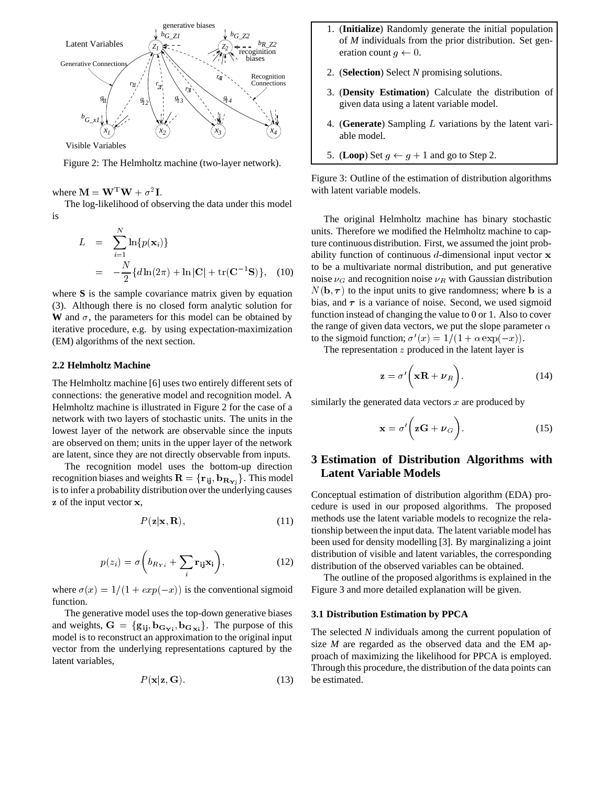

Visible Variables

Figure 2: The Helmholtz machine (two-layer network).

where  $\mathbf{M} = \mathbf{W}^{\mathrm{T}} \mathbf{W} + \sigma^2 \mathbf{I}$ .

The log-likelihood of observing the data under this model is

$$
L = \sum_{i=1}^{N} \ln\{p(\mathbf{x}_i)\}
$$
  
=  $-\frac{N}{2} \{d \ln(2\pi) + \ln |\mathbf{C}| + \text{tr}(\mathbf{C}^{-1} \mathbf{S})\},$  (10)

where **S** is the sample covariance matrix given by equation (3). Although there is no closed form analytic solution for **W** and  $\sigma$ , the parameters for this model can be obtained by iterative procedure, e.g. by using expectation-maximization (EM) algorithms of the next section.

## **2.2 Helmholtz Machine**

The Helmholtz machine [6] uses two entirely different sets of connections: the generative model and recognition model. A Helmholtz machine is illustrated in Figure 2 for the case of a network with two layers of stochastic units. The units in the lowest layer of the network are observable since the inputs are observed on them; units in the upper layer of the network are latent, since they are not directly observable from inputs.

The recognition model uses the bottom-up direction recognition biases and weights  $\mathbf{R} = {\mathbf{r}_{ij}, \mathbf{b}_{\mathbf{R_{Yi}}}}$ . This model is to infer a probability distribution over the underlying causes z of the input vector x,

$$
P(\mathbf{z}|\mathbf{x}, \mathbf{R}),\tag{11}
$$

$$
p(z_i) = \sigma\left(b_{R_{Yi}} + \sum_i \mathbf{r}_{ij}\mathbf{x}_i\right),\tag{12}
$$

where  $\sigma(x) = 1/(1 + exp(-x))$  is the conventional sigmoid function.

The generative model uses the top-down generative biases and weights,  $G = \{g_{ij}, b_{\mathbf{G_Y}i}, b_{\mathbf{G_X}i}\}\$ . The purpose of this model is to reconstruct an approximation to the original input vector from the underlying representations captured by the latent variables,

$$
P(\mathbf{x}|\mathbf{z}, \mathbf{G}).\tag{13}
$$

- 1. (**Initialize**) Randomly generate the initial population of *M* individuals from the prior distribution. Set generation count  $q \leftarrow 0$ .
- 2. (**Selection**) Select *N* promising solutions.
- 3. (**Density Estimation**) Calculate the distribution of given data using a latent variable model.
- 4. (Generate) Sampling *L* variations by the latent variable model.
- 5. (**Loop**) Set  $g \leftarrow g + 1$  and go to Step 2.

Figure 3: Outline of the estimation of distribution algorithms with latent variable models.

The original Helmholtz machine has binary stochastic units. Therefore we modified the Helmholtz machine to capture continuous distribution. First, we assumed the joint probability function of continuous  $d$ -dimensional input vector  $x$ to be a multivariate normal distribution, and put generative noise  $\nu_G$  and recognition noise  $\nu_R$  with Gaussian distribution  $N(\mathbf{b}, \tau)$  to the input units to give randomness; where **b** is a bias, and  $\tau$  is a variance of noise. Second, we used sigmoid function instead of changing the value to 0 or 1. Also to cover the range of given data vectors, we put the slope parameter  $\alpha$ to the sigmoid function;  $\sigma'(x) = 1/(1 + \alpha \exp(-x))$ .

The representation  $z$  produced in the latent layer is

$$
\mathbf{z} = \sigma' \bigg( \mathbf{x} \mathbf{R} + \boldsymbol{\nu}_R \bigg). \tag{14}
$$

similarly the generated data vectors  $x$  are produced by

$$
\mathbf{x} = \sigma' \bigg( \mathbf{z} \mathbf{G} + \boldsymbol{\nu}_G \bigg). \tag{15}
$$

## **3 Estimation of Distribution Algorithms with Latent Variable Models**

Conceptual estimation of distribution algorithm (EDA) procedure is used in our proposed algorithms. The proposed methods use the latent variable models to recognize the relationship between the input data. The latent variable model has been used for density modelling [3]. By marginalizing a joint distribution of visible and latent variables, the corresponding distribution of the observed variables can be obtained.

The outline of the proposed algorithms is explained in the Figure 3 and more detailed explanation will be given.

### **3.1 Distribution Estimation by PPCA**

The selected *N* individuals among the current population of size *M* are regarded as the observed data and the EM approach of maximizing the likelihood for PPCA is employed. Through this procedure, the distribution of the data points can be estimated.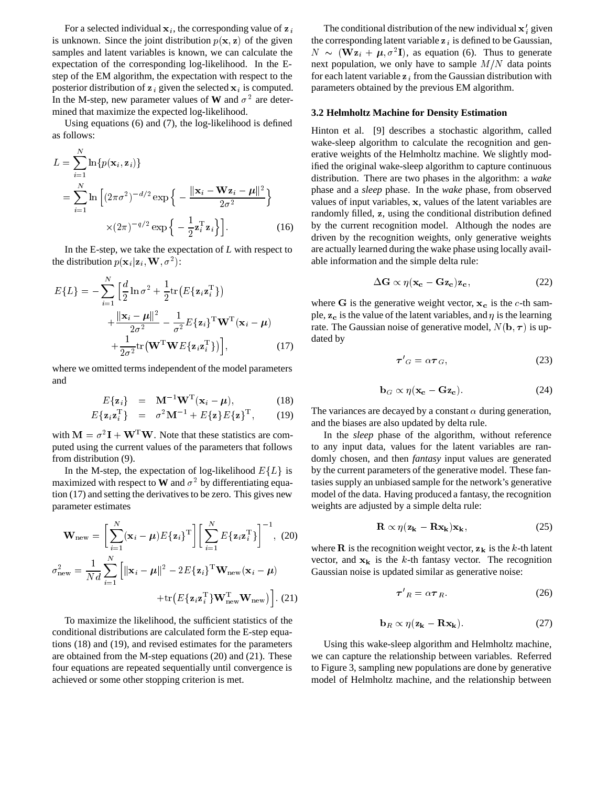For a selected individual  $x_i$ , the corresponding value of  $z$ is unknown. Since the joint distribution  $p(x, z)$  of the given samples and latent variables is known, we can calculate the expectation of the corresponding log-likelihood. In the Estep of the EM algorithm, the expectation with respect to the posterior distribution of  $z_i$  given the selected  $x_i$  is computed. In the M-step, new parameter values of **W** and  $\sigma^2$  are determined that maximize the expected log-likelihood.

Using equations (6) and (7), the log-likelihood is defined as follows:

$$
L = \sum_{i=1}^{N} \ln\{p(\mathbf{x}_i, \mathbf{z}_i)\}\n= \sum_{i=1}^{N} \ln\left[(2\pi\sigma^2)^{-d/2} \exp\left\{-\frac{\|\mathbf{x}_i - \mathbf{W}\mathbf{z}_i - \boldsymbol{\mu}\|^2}{2\sigma^2}\right\}\n= \sum_{i=1}^{N} \ln\left[(2\pi\sigma^2)^{-d/2} \exp\left\{-\frac{\|\mathbf{x}_i - \mathbf{W}\mathbf{z}_i - \boldsymbol{\mu}\|^2}{2\sigma^2}\right\}\n= \max_{\text{rad}}\n= \sum_{i=1}^{N} \ln\left[\frac{2\pi\sigma^2}{\sigma^2}\right] \tag{16}
$$

In the E-step, we take the expectation of *L* with respect to the distribution  $p(\mathbf{x}_i|\mathbf{z}_i, \mathbf{W}, \sigma^2)$ :

$$
E\{L\} = -\sum_{i=1}^{N} \left[ \frac{d}{2} \ln \sigma^2 + \frac{1}{2} \text{tr}\left( E\{\mathbf{z}_i \mathbf{z}_i^{\mathrm{T}}\} \right) \right]
$$
\n
$$
+ \frac{\|\mathbf{x}_i - \boldsymbol{\mu}\|^2}{2\sigma^2} - \frac{1}{\sigma^2} E\{\mathbf{z}_i\}^{\mathrm{T}} \mathbf{W}^{\mathrm{T}}(\mathbf{x}_i - \boldsymbol{\mu}) \right]_{\mathrm{Tr}}^{\mathrm{p}}
$$
\n
$$
+ \frac{1}{2\sigma^2} \text{tr}\left(\mathbf{W}^{\mathrm{T}} \mathbf{W} E\{\mathbf{z}_i \mathbf{z}_i^{\mathrm{T}}\} \right) \Big], \tag{17}
$$

where we omitted terms independent of the model parameters and

$$
E\{\mathbf{z}_i\} = \mathbf{M}^{-1}\mathbf{W}^{\mathrm{T}}(\mathbf{x}_i - \boldsymbol{\mu}), \qquad (18)
$$

$$
E\{\mathbf{z}_i\mathbf{z}_i^{\mathrm{T}}\} = \sigma^2 \mathbf{M}^{-1} + E\{\mathbf{z}\} E\{\mathbf{z}\}^{\mathrm{T}}, \qquad (19)
$$

with  $M = \sigma^2 I + W^T W$ . Note that these statistics are computed using the current values of the parameters that follows from distribution (9).

In the M-step, the expectation of log-likelihood  $E\{L\}$  is by maximized with respect to **W** and  $\sigma^2$  by differentiating equation (17) and setting the derivatives to be zero. This gives new parameter estimates

$$
\mathbf{W}_{\text{new}} = \left[\sum_{i=1}^{N} (\mathbf{x}_i - \boldsymbol{\mu}) E\{\mathbf{z}_i\}^{\text{T}}\right] \left[\sum_{i=1}^{N} E\{\mathbf{z}_i \mathbf{z}_i^{\text{T}}\}\right]^{-1}, (20)
$$

$$
\sigma_{\text{new}}^2 = \frac{1}{Nd} \sum_{i=1}^{N} \left[ \|\mathbf{x}_i - \boldsymbol{\mu}\|^2 - 2E\{\mathbf{z}_i\}^{\text{T}} \mathbf{W}_{\text{new}} (\mathbf{x}_i - \boldsymbol{\mu})\right]
$$

$$
+\mathrm{tr}\left(E\{\mathbf{z}_{i}\mathbf{z}_{i}^{\mathrm{T}}\}\mathbf{W}_{\mathrm{new}}^{\mathrm{T}}\mathbf{W}_{\mathrm{new}}\right)\big].\ (21)
$$

To maximize the likelihood, the sufficient statistics of the conditional distributions are calculated form the E-step equations (18) and (19), and revised estimates for the parameters are obtained from the M-step equations (20) and (21). These four equations are repeated sequentially until convergence is achieved or some other stopping criterion is met.

The conditional distribution of the new individual  $x_i$  given the corresponding latent variable  $z_i$  is defined to be Gaussian,  $N \sim (\mathbf{W} \mathbf{z}_i + \boldsymbol{\mu}, \sigma^2 \mathbf{I})$ , as equation (6). Thus to generate next population, we only have to sample  $M/N$  data points for each latent variable  $z_i$  from the Gaussian distribution with parameters obtained by the previous EM algorithm.

### **3.2 Helmholtz Machine for Density Estimation**

Hinton et al. [9] describes a stochastic algorithm, called wake-sleep algorithm to calculate the recognition and generative weights of the Helmholtz machine. We slightly modified the original wake-sleep algorithm to capture continuous distribution. There are two phases in the algorithm: a *wake* phase and a *sleep* phase. In the *wake* phase, from observed values of input variables, x, values of the latent variables are randomly filled, z, using the conditional distribution defined by the current recognition model. Although the nodes are driven by the recognition weights, only generative weights are actually learned during the wake phase using locally available information and the simple delta rule:

$$
\Delta G \propto \eta (\mathbf{x_c} - \mathbf{Gz_c}) \mathbf{z_c},\tag{22}
$$

where G is the generative weight vector,  $x_c$  is the c-th sample,  $z_c$  is the value of the latent variables, and  $\eta$  is the learning rate. The Gaussian noise of generative model,  $N(\mathbf{b}, \boldsymbol{\tau})$  is updated by

$$
\tau'_{G} = \alpha \tau_{G},\tag{23}
$$

$$
\mathbf{b}_G \propto \eta (\mathbf{x_c} - \mathbf{Gz_c}). \tag{24}
$$

The variances are decayed by a constant  $\alpha$  during generation, and the biases are also updated by delta rule.

In the *sleep* phase of the algorithm, without reference to any input data, values for the latent variables are randomly chosen, and then *fantasy* input values are generated by the current parameters of the generative model. These fantasies supply an unbiased sample for the network's generative model of the data. Having produced a fantasy, the recognition weights are adjusted by a simple delta rule:

$$
\mathbf{R} \propto \eta (\mathbf{z}_{\mathbf{k}} - \mathbf{R} \mathbf{x}_{\mathbf{k}}) \mathbf{x}_{\mathbf{k}},\tag{25}
$$

 $-\mu$ ) Gaussian noise is updated similar as generative noise: where **R** is the recognition weight vector,  $z_k$  is the k-th latent vector, and  $x_k$  is the k-th fantasy vector. The recognition

$$
\tau'_{R} = \alpha \tau_{R} \tag{26}
$$

$$
\mathbf{b}_R \propto \eta(\mathbf{z}_k - \mathbf{R}\mathbf{x}_k). \tag{27}
$$

Using this wake-sleep algorithm and Helmholtz machine, we can capture the relationship between variables. Referred to Figure 3, sampling new populations are done by generative model of Helmholtz machine, and the relationship between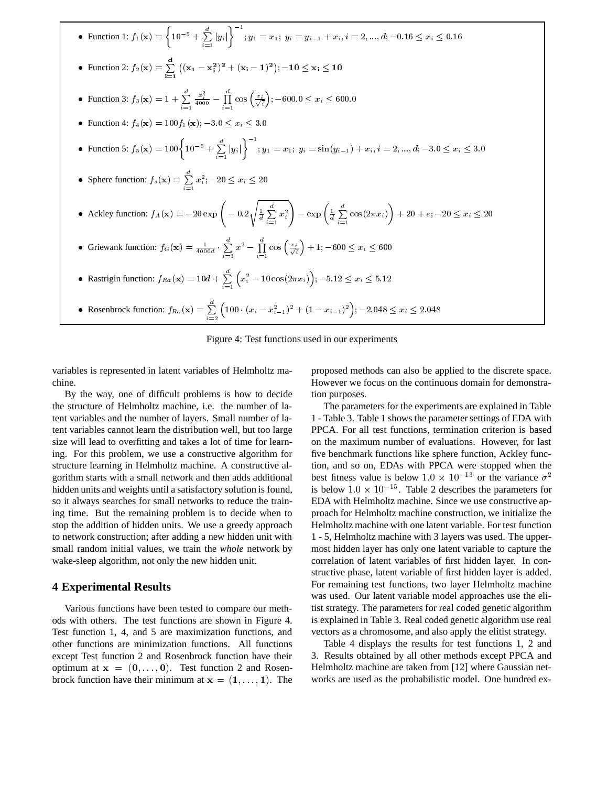| • Function 1: $f_1(\mathbf{x}) = \left\{ 10^{-5} + \sum_{i=1}^d  y_i  \right\}^{-1}$ ; $y_1 = x_1$ ; $y_i = y_{i-1} + x_i$ , $i = 2, , d$ ; $-0.16 \le x_i \le 0.16$                             |
|--------------------------------------------------------------------------------------------------------------------------------------------------------------------------------------------------|
| • Function 2: $f_2(\mathbf{x}) = \sum_{i=1}^{d} ((\mathbf{x}_1 - \mathbf{x}_i^2)^2 + (\mathbf{x}_i - 1)^2); -10 \le \mathbf{x}_i \le 10$                                                         |
| • Function 3: $f_3(\mathbf{x}) = 1 + \sum_{i=1}^d \frac{x_i^2}{4000} - \prod_{i=1}^d \cos\left(\frac{x_i}{\sqrt{i}}\right); -600.0 \le x_i \le 600.0$                                            |
| • Function 4: $f_4(\mathbf{x}) = 100f_1(\mathbf{x}); -3.0 \le x_i \le 3.0$                                                                                                                       |
| • Function 5: $f_5(\mathbf{x}) = 100 \left\{ 10^{-5} + \sum_{i=1}^d  y_i  \right\}^{-1}$ ; $y_1 = x_1$ ; $y_i = \sin(y_{i-1}) + x_i$ , $i = 2, , d; -3.0 \le x_i \le 3.0$                        |
| • Sphere function: $f_s(\mathbf{x}) = \sum_{i=1}^{a} x_i^2$ ; $-20 \le x_i \le 20$                                                                                                               |
| • Ackley function: $f_A(\mathbf{x}) = -20 \exp \left(-0.2 \sqrt{\frac{1}{d} \sum_{i=1}^d x_i^2}\right) - \exp \left(\frac{1}{d} \sum_{i=1}^d \cos(2\pi x_i)\right) + 20 + e, -20 \le x_i \le 20$ |
| • Griewank function: $f_G(\mathbf{x}) = \frac{1}{4000d} \cdot \sum_{i=1}^{d} x^2 - \prod_{i=1}^{d} \cos\left(\frac{x_i}{\sqrt{i}}\right) + 1; -600 \leq x_i \leq 600$                            |
| • Rastrigin function: $f_{Ra}(\mathbf{x}) = 10d + \sum_{i=1}^{d} (x_i^2 - 10 \cos(2\pi x_i))$ ; -5.12 $\leq x_i \leq 5.12$                                                                       |
| • Rosenbrock function: $f_{Ro}(\mathbf{x}) = \sum_{i=2}^{d} \left(100 \cdot (x_i - x_{i-1}^2)^2 + (1 - x_{i-1})^2\right); -2.048 \leq x_i \leq 2.048$                                            |

Figure 4: Test functions used in our experiments

variables is represented in latent variables of Helmholtz machine.

By the way, one of difficult problems is how to decide the structure of Helmholtz machine, i.e. the number of latent variables and the number of layers. Small number of latent variables cannot learn the distribution well, but too large size will lead to overfitting and takes a lot of time for learning. For this problem, we use a constructive algorithm for structure learning in Helmholtz machine. A constructive algorithm starts with a small network and then adds additional hidden units and weights until a satisfactory solution is found, so it always searches for small networks to reduce the training time. But the remaining problem is to decide when to stop the addition of hidden units. We use a greedy approach to network construction; after adding a new hidden unit with small random initial values, we train the *whole* network by wake-sleep algorithm, not only the new hidden unit.

## **4 Experimental Results**

Various functions have been tested to compare our methods with others. The test functions are shown in Figure 4. Test function 1, 4, and 5 are maximization functions, and other functions are minimization functions. All functions except Test function 2 and Rosenbrock function have their optimum at  $x = (0, \ldots, 0)$ . Test function 2 and Rosenbrock function have their minimum at  $x = (1, \ldots, 1)$ . The

proposed methods can also be applied to the discrete space. However we focus on the continuous domain for demonstration purposes.

The parameters for the experiments are explained in Table 1 - Table 3. Table 1 shows the parameter settings of EDA with PPCA. For all test functions, termination criterion is based on the maximum number of evaluations. However, for last five benchmark functions like sphere function, Ackley function, and so on, EDAs with PPCA were stopped when the best fitness value is below  $1.0 \times 10^{-13}$  or the variance  $\sigma^2$ is below  $1.0 \times 10^{-15}$ . Table 2 describes the parameters for EDA with Helmholtz machine. Since we use constructive approach for Helmholtz machine construction, we initialize the Helmholtz machine with one latent variable. For test function 1 - 5, Helmholtz machine with 3 layers was used. The uppermost hidden layer has only one latent variable to capture the correlation of latent variables of first hidden layer. In constructive phase, latent variable of first hidden layer is added. For remaining test functions, two layer Helmholtz machine was used. Our latent variable model approaches use the elitist strategy. The parameters for real coded genetic algorithm is explained in Table 3. Real coded genetic algorithm use real vectors as a chromosome, and also apply the elitist strategy.

Table 4 displays the results for test functions 1, 2 and 3. Results obtained by all other methods except PPCA and Helmholtz machine are taken from [12] where Gaussian networks are used as the probabilistic model. One hundred ex-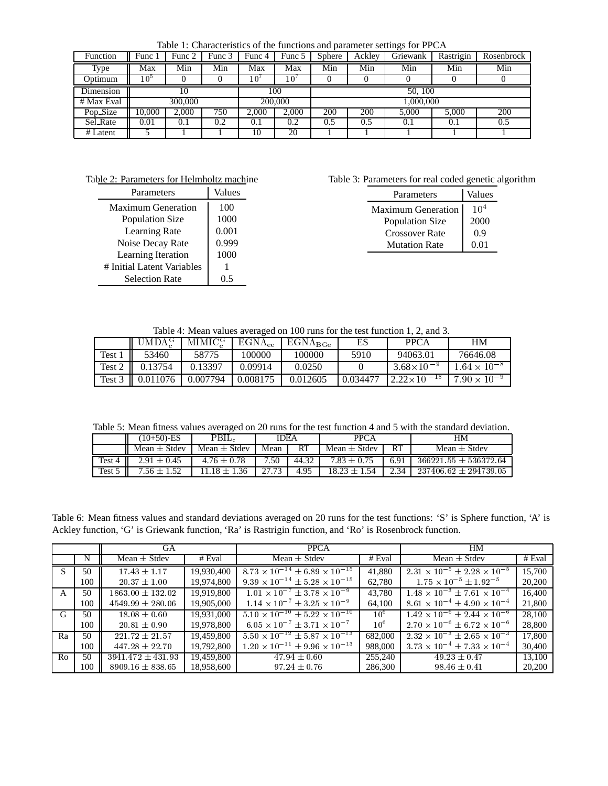Table 1: Characteristics of the functions and parameter settings for PPCA

| Function   | Func!           | Func 2 | Func 3 | Func 4  | Func 5 | <b>Sphere</b> | Ackley | Griewank | Rastrigin | Rosenbrock |  |
|------------|-----------------|--------|--------|---------|--------|---------------|--------|----------|-----------|------------|--|
| Type       | Max             | Min    | Min    | Max     | Max    | Min           | Min    | Min      | Min       | Min        |  |
| Optimum    | 10 <sup>5</sup> |        |        | 10'     | 10'    |               |        |          |           |            |  |
| Dimension  | 10              |        |        | 100     |        | 50, 100       |        |          |           |            |  |
| # Max Eval | 300,000         |        |        | 200,000 |        | 1.000.000     |        |          |           |            |  |
| Pop_Size   | 10.000          | 2.000  | 750    | 2.000   | 2.000  | 200           | 200    | 5.000    | 5.000     | 200        |  |
| Sel Rate   | 0.01            | 0.1    | 0.2    | 0.1     | 0.2    | 0.5           | 0.5    | 0.1      | 0.1       | 0.5        |  |
| # Latent   |                 |        |        | 10      | 20     |               |        |          |           |            |  |

Table 2: Parameters for Helmholtz machine

| Parameters                 | Values |
|----------------------------|--------|
| <b>Maximum Generation</b>  | 100    |
| Population Size            | 1000   |
| Learning Rate              | 0.001  |
| Noise Decay Rate           | 0.999  |
| Learning Iteration         | 1000   |
| # Initial Latent Variables |        |
| <b>Selection Rate</b>      |        |

Table 3: Parameters for real coded genetic algorithm

| Parameters             | Values          |
|------------------------|-----------------|
| Maximum Generation     | 10 <sup>4</sup> |
| <b>Population Size</b> | 2000            |
| <b>Crossover Rate</b>  | 0.9             |
| <b>Mutation Rate</b>   | 0.01            |

Table 4: Mean values averaged on 100 runs for the test function 1, 2, and 3.

|        | MDAS     | MIMIC <sub>s</sub> | $EGNA_{ee}$ | $EGNA_{BGe}$ | ES       | <b>PPCA</b>            | HМ                    |
|--------|----------|--------------------|-------------|--------------|----------|------------------------|-----------------------|
| Test.  | 53460    | 58775              | 100000      | 100000       | 5910     | 94063.01               | 76646.08              |
| Test 2 | 0.13754  | 0.13397            | 0.09914     | 0.0250       |          | $3.68\times10^{-9}$    | $.64 \times 10^{-8}$  |
| Test 3 | 0.011076 | 0.007794           | 0.008175    | 0.012605     | 0.034477 | $-18$<br>$2.22\times1$ | $7.90 \times 10^{-9}$ |

Table 5: Mean fitness values averaged on 20 runs for the test function 4 and 5 with the standard deviation.

|        | $(10+50)$ -ES    | $PBIL_c$         | IDEA  |       | <b>PPCA</b>      |              | HМ                        |
|--------|------------------|------------------|-------|-------|------------------|--------------|---------------------------|
|        | Mean $\pm$ Stdev | Mean $\pm$ Stdev | Mean  | RT    | Mean $\pm$ Stdev | RT           | Mean $\pm$ Stdev          |
| Test 4 | $2.91\pm0.45$    | $4.76 \pm 0.78$  | 7.50  | 44.32 | 7.83             | 6.91         | $366221.55 \pm 536372.64$ |
| Test 5 |                  | 36، ا            | 27.72 | 4.95  | 18.23<br>-54     | $\hat{ }$ 34 | $237406.62 \pm 294739.05$ |

Table 6: Mean fitness values and standard deviations averaged on 20 runs for the test functions: 'S' is Sphere function, 'A' is Ackley function, 'G' is Griewank function, 'Ra' is Rastrigin function, and 'Ro' is Rosenbrock function.

|    |     | GА                         |            | <b>PPCA</b>                                     |                 | HM                                            |        |
|----|-----|----------------------------|------------|-------------------------------------------------|-----------------|-----------------------------------------------|--------|
|    | N   | Mean $\pm$ Stdev<br># Eval |            | Mean $\pm$ Stdev                                | # Eval          | Mean $\pm$ Stdev                              | # Eval |
|    | 50  | $17.43 \pm 1.17$           | 19,930,400 | $8.73 \times 10^{-14} \pm 6.89 \times 10^{-15}$ | 41.880          | $2.31 \times 10^{-5} \pm 2.28 \times 10^{-5}$ | 15,700 |
|    | 100 | $20.37 \pm 1.00$           | 19,974,800 | $9.39 \times 10^{-14} \pm 5.28 \times 10^{-15}$ | 62.780          | $1.75 \times 10^{-5} \pm 1.92^{-5}$           | 20,200 |
| A  | 50  | $1863.00 \pm 132.02$       | 19,919,800 | $1.01 \times 10^{-7} \pm 3.78 \times 10^{-9}$   | 43.780          | $1.48 \times 10^{-3} \pm 7.61 \times 10^{-4}$ | 16,400 |
|    | 100 | $4549.99 \pm 280.06$       | 19,905,000 | $1.14 \times 10^{-7} \pm 3.25 \times 10^{-9}$   | 64,100          | $8.61 \times 10^{-4} \pm 4.90 \times 10^{-4}$ | 21,800 |
| G  | 50  | $18.08 \pm 0.60$           | 19,931,000 | $5.10 \times 10^{-10} \pm 5.22 \times 10^{-10}$ | 10 <sup>6</sup> | $1.42 \times 10^{-6} \pm 2.44 \times 10^{-6}$ | 28,100 |
|    | 100 | $20.81 \pm 0.90$           | 19,978,800 | $6.05 \times 10^{-7} \pm 3.71 \times 10^{-7}$   | 10 <sup>6</sup> | $2.70 \times 10^{-6} \pm 6.72 \times 10^{-6}$ | 28,800 |
| Ra | 50  | $221.72 \pm 21.57$         | 19,459,800 | $5.50 \times 10^{-12} \pm 5.87 \times 10^{-13}$ | 682,000         | $2.32 \times 10^{-3} \pm 2.65 \times 10^{-3}$ | 17,800 |
|    | 100 | $447.28 \pm 22.70$         | 19,792,800 | $1.20 \times 10^{-11} \pm 9.96 \times 10^{-13}$ | 988,000         | $3.73 \times 10^{-4} \pm 7.33 \times 10^{-4}$ | 30,400 |
| Ro | 50  | $3941.472 \pm 431.93$      | 19,459,800 | $47.94 \pm 0.60$                                | 255,240         | $49.23 \pm 0.47$                              | 13.100 |
|    | 100 | $8909.16 \pm 838.65$       | 18,958,600 | $97.24 \pm 0.76$                                | 286,300         | $98.46 \pm 0.41$                              | 20,200 |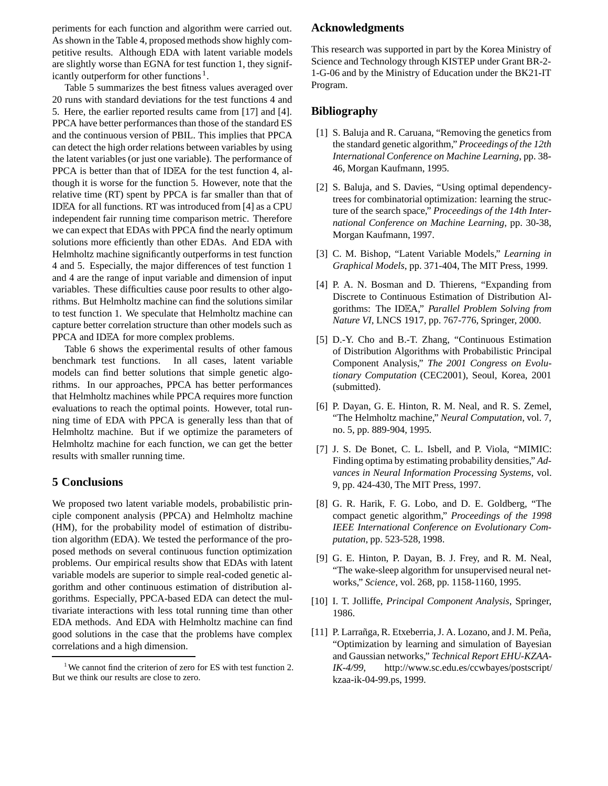periments for each function and algorithm were carried out. As shown in the Table 4, proposed methods show highly competitive results. Although EDA with latent variable models are slightly worse than EGNA for test function 1, they significantly outperform for other functions .

Table 5 summarizes the best fitness values averaged over 20 runs with standard deviations for the test functions 4 and 5. Here, the earlier reported results came from [17] and [4]. PPCA have better performances than those of the standard ES and the continuous version of PBIL. This implies that PPCA can detect the high order relations between variables by using the latent variables (or just one variable). The performance of PPCA is better than that of ID $E$ A for the test function 4, although it is worse for the function 5. However, note that the relative time (RT) spent by PPCA is far smaller than that of ID $E$ A for all functions. RT was introduced from [4] as a CPU independent fair running time comparison metric. Therefore we can expect that EDAs with PPCA find the nearly optimum solutions more efficiently than other EDAs. And EDA with Helmholtz machine significantly outperforms in test function 4 and 5. Especially, the major differences of test function 1 and 4 are the range of input variable and dimension of input variables. These difficulties cause poor results to other algorithms. But Helmholtz machine can find the solutions similar to test function 1. We speculate that Helmholtz machine can capture better correlation structure than other models such as PPCA and IDEA for more complex problems.

Table 6 shows the experimental results of other famous benchmark test functions. In all cases, latent variable models can find better solutions that simple genetic algorithms. In our approaches, PPCA has better performances that Helmholtz machines while PPCA requires more function evaluations to reach the optimal points. However, total running time of EDA with PPCA is generally less than that of Helmholtz machine. But if we optimize the parameters of Helmholtz machine for each function, we can get the better results with smaller running time.

## **5 Conclusions**

We proposed two latent variable models, probabilistic principle component analysis (PPCA) and Helmholtz machine (HM), for the probability model of estimation of distribution algorithm (EDA). We tested the performance of the proposed methods on several continuous function optimization problems. Our empirical results show that EDAs with latent variable models are superior to simple real-coded genetic algorithm and other continuous estimation of distribution algorithms. Especially, PPCA-based EDA can detect the multivariate interactions with less total running time than other EDA methods. And EDA with Helmholtz machine can find good solutions in the case that the problems have complex correlations and a high dimension.

## **Acknowledgments**

This research was supported in part by the Korea Ministry of Science and Technology through KISTEP under Grant BR-2- 1-G-06 and by the Ministry of Education under the BK21-IT Program.

## **Bibliography**

- [1] S. Baluja and R. Caruana, "Removing the genetics from the standard genetic algorithm," *Proceedings of the 12th International Conference on Machine Learning*, pp. 38- 46, Morgan Kaufmann, 1995.
- [2] S. Baluja, and S. Davies, "Using optimal dependencytrees for combinatorial optimization: learning the structure of the search space," *Proceedings of the 14th International Conference on Machine Learning*, pp. 30-38, Morgan Kaufmann, 1997.
- [3] C. M. Bishop, "Latent Variable Models," *Learning in Graphical Models*, pp. 371-404, The MIT Press, 1999.
- [4] P. A. N. Bosman and D. Thierens, "Expanding from Discrete to Continuous Estimation of Distribution Algorithms: The IDEA," *Parallel Problem Solving from Nature VI*, LNCS 1917, pp. 767-776, Springer, 2000.
- [5] D.-Y. Cho and B.-T. Zhang, "Continuous Estimation of Distribution Algorithms with Probabilistic Principal Component Analysis," *The 2001 Congress on Evolutionary Computation* (CEC2001), Seoul, Korea, 2001 (submitted).
- [6] P. Dayan, G. E. Hinton, R. M. Neal, and R. S. Zemel, "The Helmholtz machine," *Neural Computation*, vol. 7, no. 5, pp. 889-904, 1995.
- [7] J. S. De Bonet, C. L. Isbell, and P. Viola, "MIMIC: Finding optima by estimating probability densities," *Advances in Neural Information Processing Systems*, vol. 9, pp. 424-430, The MIT Press, 1997.
- [8] G. R. Harik, F. G. Lobo, and D. E. Goldberg, "The compact genetic algorithm," *Proceedings of the 1998 IEEE International Conference on Evolutionary Computation*, pp. 523-528, 1998.
- [9] G. E. Hinton, P. Dayan, B. J. Frey, and R. M. Neal, "The wake-sleep algorithm for unsupervised neural networks," *Science*, vol. 268, pp. 1158-1160, 1995.
- [10] I. T. Jolliffe, *Principal Component Analysis*, Springer, 1986.
- [11] P. Larrañga, R. Etxeberria, J. A. Lozano, and J. M. Peña, "Optimization by learning and simulation of Bayesian and Gaussian networks," *Technical Report EHU-KZAA-IK-4/99*, http://www.sc.edu.es/ccwbayes/postscript/ kzaa-ik-04-99.ps, 1999.

We cannot find the criterion of zero for ES with test function 2. But we think our results are close to zero.